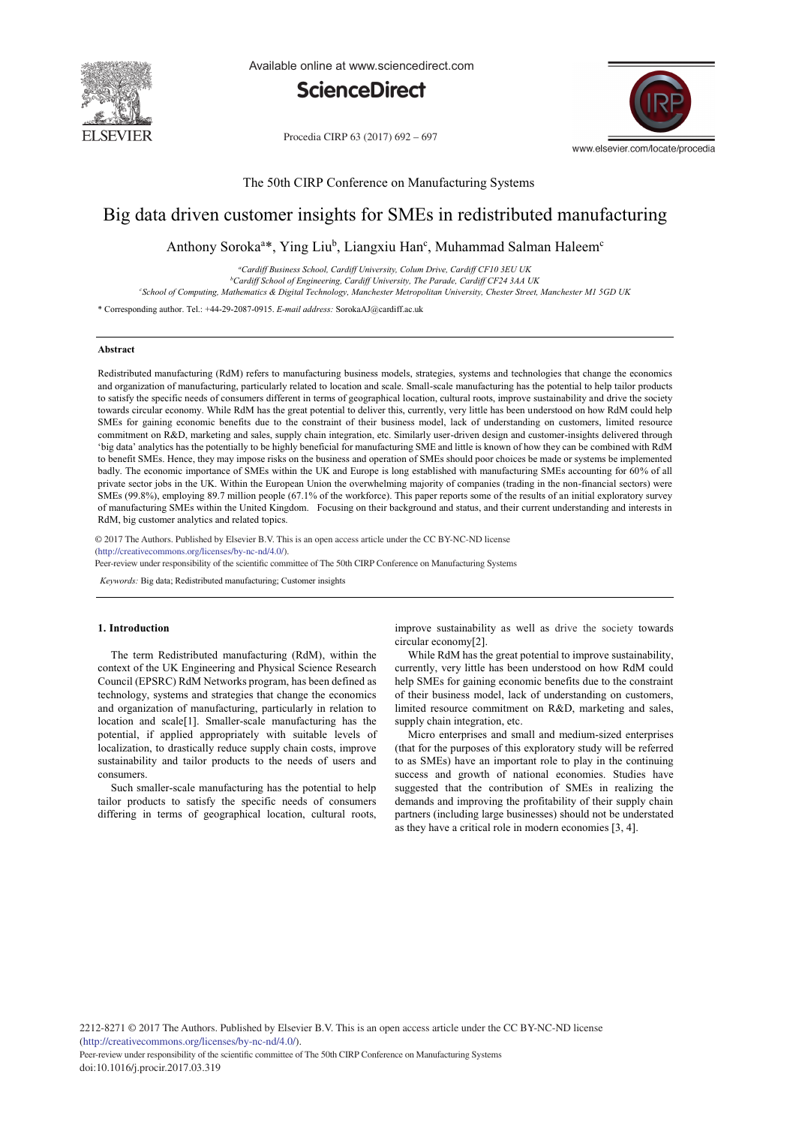

Available online at www.sciencedirect.com





Procedia CIRP 63 (2017) 692 - 697

The 50th CIRP Conference on Manufacturing Systems

# Big data driven customer insights for SMEs in redistributed manufacturing

Anthony Soroka<sup>a\*</sup>, Ying Liu<sup>b</sup>, Liangxiu Han<sup>c</sup>, Muhammad Salman Haleem<sup>c</sup>

*a Cardiff Business School, Cardiff University, Colum Drive, Cardiff CF10 3EU UK b Cardiff School of Engineering, Cardiff University, The Parade, Cardiff CF24 3AA UK c School of Computing, Mathematics & Digital Technology, Manchester Metropolitan University, Chester Street, Manchester M1 5GD UK*

\* Corresponding author. Tel.: +44-29-2087-0915. *E-mail address:* SorokaAJ@cardiff.ac.uk

## **Abstract**

Redistributed manufacturing (RdM) refers to manufacturing business models, strategies, systems and technologies that change the economics and organization of manufacturing, particularly related to location and scale. Small-scale manufacturing has the potential to help tailor products to satisfy the specific needs of consumers different in terms of geographical location, cultural roots, improve sustainability and drive the society towards circular economy. While RdM has the great potential to deliver this, currently, very little has been understood on how RdM could help SMEs for gaining economic benefits due to the constraint of their business model, lack of understanding on customers, limited resource commitment on R&D, marketing and sales, supply chain integration, etc. Similarly user-driven design and customer-insights delivered through 'big data' analytics has the potentially to be highly beneficial for manufacturing SME and little is known of how they can be combined with RdM to benefit SMEs. Hence, they may impose risks on the business and operation of SMEs should poor choices be made or systems be implemented badly. The economic importance of SMEs within the UK and Europe is long established with manufacturing SMEs accounting for 60% of all private sector jobs in the UK. Within the European Union the overwhelming majority of companies (trading in the non-financial sectors) were SMEs (99.8%), employing 89.7 million people (67.1% of the workforce). This paper reports some of the results of an initial exploratory survey of manufacturing SMEs within the United Kingdom. Focusing on their background and status, and their current understanding and interests in RdM, big customer analytics and related topics.

© 2017 The Authors. Published by Elsevier B.V. (http://creativecommons.org/licenses/by-nc-nd/4.0/). © 2017 The Authors. Published by Elsevier B.V. This is an open access article under the CC BY-NC-ND license

The Trustan Commons.org necessary-ne-har-or).<br>Peer-review under responsibility of the scientific committee of The 50th CIRP Conference on Manufacturing Systems

*Keywords:* Big data; Redistributed manufacturing; Customer insights

#### **1. Introduction**

The term Redistributed manufacturing (RdM), within the context of the UK Engineering and Physical Science Research Council (EPSRC) RdM Networks program, has been defined as technology, systems and strategies that change the economics and organization of manufacturing, particularly in relation to location and scale[1]. Smaller-scale manufacturing has the potential, if applied appropriately with suitable levels of localization, to drastically reduce supply chain costs, improve sustainability and tailor products to the needs of users and consumers.

Such smaller-scale manufacturing has the potential to help tailor products to satisfy the specific needs of consumers differing in terms of geographical location, cultural roots, improve sustainability as well as drive the society towards circular economy[2].

While RdM has the great potential to improve sustainability, currently, very little has been understood on how RdM could help SMEs for gaining economic benefits due to the constraint of their business model, lack of understanding on customers, limited resource commitment on R&D, marketing and sales, supply chain integration, etc.

Micro enterprises and small and medium-sized enterprises (that for the purposes of this exploratory study will be referred to as SMEs) have an important role to play in the continuing success and growth of national economies. Studies have suggested that the contribution of SMEs in realizing the demands and improving the profitability of their supply chain partners (including large businesses) should not be understated as they have a critical role in modern economies [3, 4].

2212-8271 © 2017 The Authors. Published by Elsevier B.V. This is an open access article under the CC BY-NC-ND license (http://creativecommons.org/licenses/by-nc-nd/4.0/).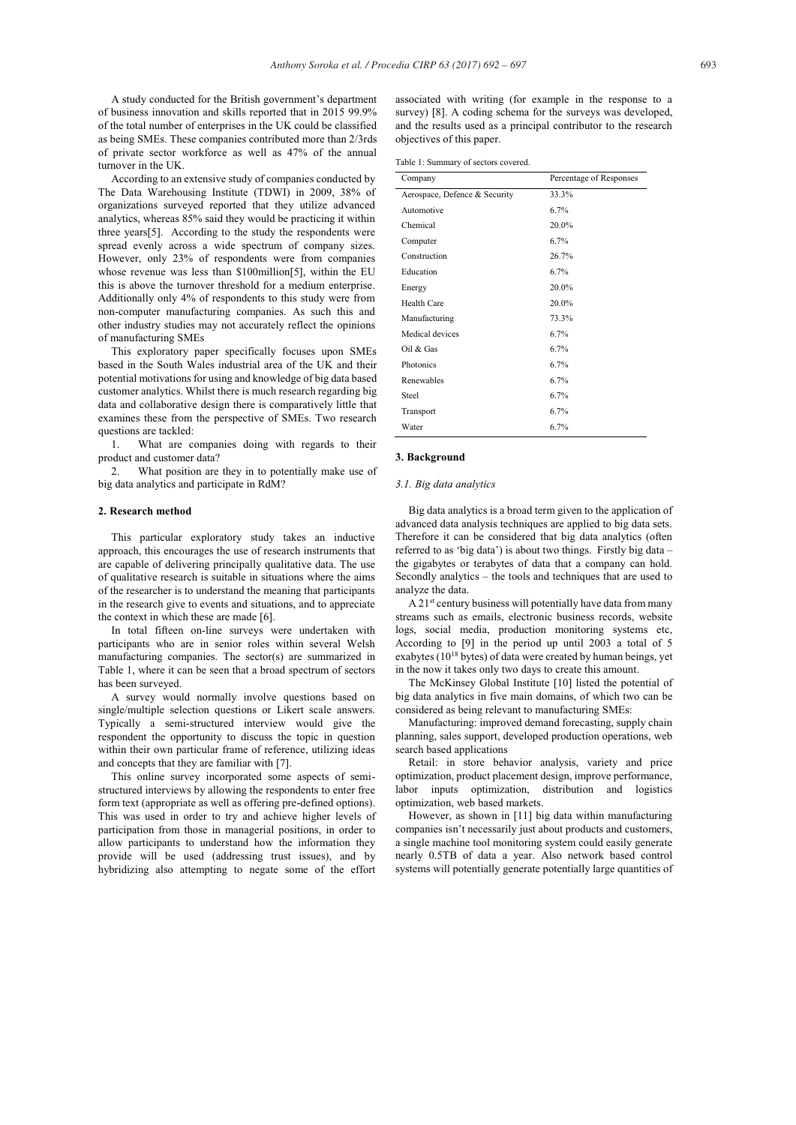A study conducted for the British government's department of business innovation and skills reported that in 2015 99.9% of the total number of enterprises in the UK could be classified as being SMEs. These companies contributed more than 2/3rds of private sector workforce as well as 47% of the annual turnover in the UK.

According to an extensive study of companies conducted by The Data Warehousing Institute (TDWI) in 2009, 38% of organizations surveyed reported that they utilize advanced analytics, whereas 85% said they would be practicing it within three years[5]. According to the study the respondents were spread evenly across a wide spectrum of company sizes. However, only 23% of respondents were from companies whose revenue was less than \$100million[5], within the EU this is above the turnover threshold for a medium enterprise. Additionally only 4% of respondents to this study were from non-computer manufacturing companies. As such this and other industry studies may not accurately reflect the opinions of manufacturing SMEs

This exploratory paper specifically focuses upon SMEs based in the South Wales industrial area of the UK and their potential motivations for using and knowledge of big data based customer analytics. Whilst there is much research regarding big data and collaborative design there is comparatively little that examines these from the perspective of SMEs. Two research questions are tackled:

1. What are companies doing with regards to their product and customer data?

2. What position are they in to potentially make use of big data analytics and participate in RdM?

### **2. Research method**

This particular exploratory study takes an inductive approach, this encourages the use of research instruments that are capable of delivering principally qualitative data. The use of qualitative research is suitable in situations where the aims of the researcher is to understand the meaning that participants in the research give to events and situations, and to appreciate the context in which these are made [6].

In total fifteen on-line surveys were undertaken with participants who are in senior roles within several Welsh manufacturing companies. The sector(s) are summarized in Table 1, where it can be seen that a broad spectrum of sectors has been surveyed.

A survey would normally involve questions based on single/multiple selection questions or Likert scale answers. Typically a semi-structured interview would give the respondent the opportunity to discuss the topic in question within their own particular frame of reference, utilizing ideas and concepts that they are familiar with [7].

This online survey incorporated some aspects of semistructured interviews by allowing the respondents to enter free form text (appropriate as well as offering pre-defined options). This was used in order to try and achieve higher levels of participation from those in managerial positions, in order to allow participants to understand how the information they provide will be used (addressing trust issues), and by hybridizing also attempting to negate some of the effort

associated with writing (for example in the response to a survey) [8]. A coding schema for the surveys was developed, and the results used as a principal contributor to the research objectives of this paper.

Table 1: Summary of sectors covered.

| Company                       | Percentage of Responses |
|-------------------------------|-------------------------|
| Aerospace, Defence & Security | 33.3%                   |
| Automotive                    | 6.7%                    |
| Chemical                      | 20.0%                   |
| Computer                      | 6.7%                    |
| Construction                  | 26.7%                   |
| Education                     | 6.7%                    |
| Energy                        | 20.0%                   |
| <b>Health Care</b>            | 20.0%                   |
| Manufacturing                 | 73.3%                   |
| Medical devices               | 6.7%                    |
| Oil & Gas                     | 6.7%                    |
| Photonics                     | 6.7%                    |
| Renewables                    | 6.7%                    |
| Steel                         | 6.7%                    |
| Transport                     | 6.7%                    |
| Water                         | 6.7%                    |

#### **3. Background**

#### *3.1. Big data analytics*

Big data analytics is a broad term given to the application of advanced data analysis techniques are applied to big data sets. Therefore it can be considered that big data analytics (often referred to as 'big data') is about two things. Firstly big data – the gigabytes or terabytes of data that a company can hold. Secondly analytics – the tools and techniques that are used to analyze the data.

A 21st century business will potentially have data from many streams such as emails, electronic business records, website logs, social media, production monitoring systems etc, According to [9] in the period up until 2003 a total of 5 exabytes  $(10^{18}$  bytes) of data were created by human beings, yet in the now it takes only two days to create this amount.

The McKinsey Global Institute [10] listed the potential of big data analytics in five main domains, of which two can be considered as being relevant to manufacturing SMEs:

Manufacturing: improved demand forecasting, supply chain planning, sales support, developed production operations, web search based applications

Retail: in store behavior analysis, variety and price optimization, product placement design, improve performance, labor inputs optimization, distribution and logistics optimization, web based markets.

However, as shown in [11] big data within manufacturing companies isn't necessarily just about products and customers, a single machine tool monitoring system could easily generate nearly 0.5TB of data a year. Also network based control systems will potentially generate potentially large quantities of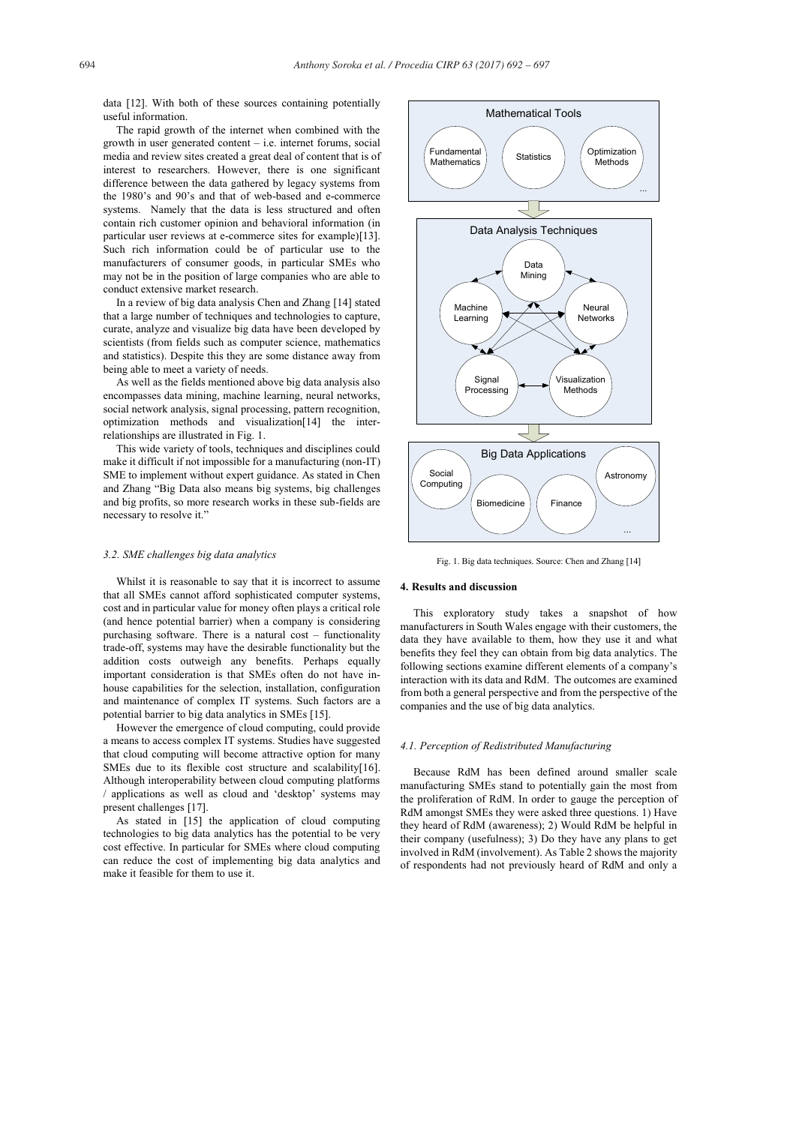data [12]. With both of these sources containing potentially useful information.

The rapid growth of the internet when combined with the growth in user generated content – i.e. internet forums, social media and review sites created a great deal of content that is of interest to researchers. However, there is one significant difference between the data gathered by legacy systems from the 1980's and 90's and that of web-based and e-commerce systems. Namely that the data is less structured and often contain rich customer opinion and behavioral information (in particular user reviews at e-commerce sites for example)[13]. Such rich information could be of particular use to the manufacturers of consumer goods, in particular SMEs who may not be in the position of large companies who are able to conduct extensive market research.

In a review of big data analysis Chen and Zhang [14] stated that a large number of techniques and technologies to capture, curate, analyze and visualize big data have been developed by scientists (from fields such as computer science, mathematics and statistics). Despite this they are some distance away from being able to meet a variety of needs.

As well as the fields mentioned above big data analysis also encompasses data mining, machine learning, neural networks, social network analysis, signal processing, pattern recognition, optimization methods and visualization[14] the interrelationships are illustrated in Fig. 1.

This wide variety of tools, techniques and disciplines could make it difficult if not impossible for a manufacturing (non-IT) SME to implement without expert guidance. As stated in Chen and Zhang "Big Data also means big systems, big challenges and big profits, so more research works in these sub-fields are necessary to resolve it."

#### *3.2. SME challenges big data analytics*

Whilst it is reasonable to say that it is incorrect to assume that all SMEs cannot afford sophisticated computer systems, cost and in particular value for money often plays a critical role (and hence potential barrier) when a company is considering purchasing software. There is a natural cost – functionality trade-off, systems may have the desirable functionality but the addition costs outweigh any benefits. Perhaps equally important consideration is that SMEs often do not have inhouse capabilities for the selection, installation, configuration and maintenance of complex IT systems. Such factors are a potential barrier to big data analytics in SMEs [15].

However the emergence of cloud computing, could provide a means to access complex IT systems. Studies have suggested that cloud computing will become attractive option for many SMEs due to its flexible cost structure and scalability[16]. Although interoperability between cloud computing platforms / applications as well as cloud and 'desktop' systems may present challenges [17].

As stated in [15] the application of cloud computing technologies to big data analytics has the potential to be very cost effective. In particular for SMEs where cloud computing can reduce the cost of implementing big data analytics and make it feasible for them to use it.



Fig. 1. Big data techniques. Source: Chen and Zhang [14]

#### **4. Results and discussion**

This exploratory study takes a snapshot of how manufacturers in South Wales engage with their customers, the data they have available to them, how they use it and what benefits they feel they can obtain from big data analytics. The following sections examine different elements of a company's interaction with its data and RdM. The outcomes are examined from both a general perspective and from the perspective of the companies and the use of big data analytics.

## *4.1. Perception of Redistributed Manufacturing*

Because RdM has been defined around smaller scale manufacturing SMEs stand to potentially gain the most from the proliferation of RdM. In order to gauge the perception of RdM amongst SMEs they were asked three questions. 1) Have they heard of RdM (awareness); 2) Would RdM be helpful in their company (usefulness); 3) Do they have any plans to get involved in RdM (involvement). As Table 2 shows the majority of respondents had not previously heard of RdM and only a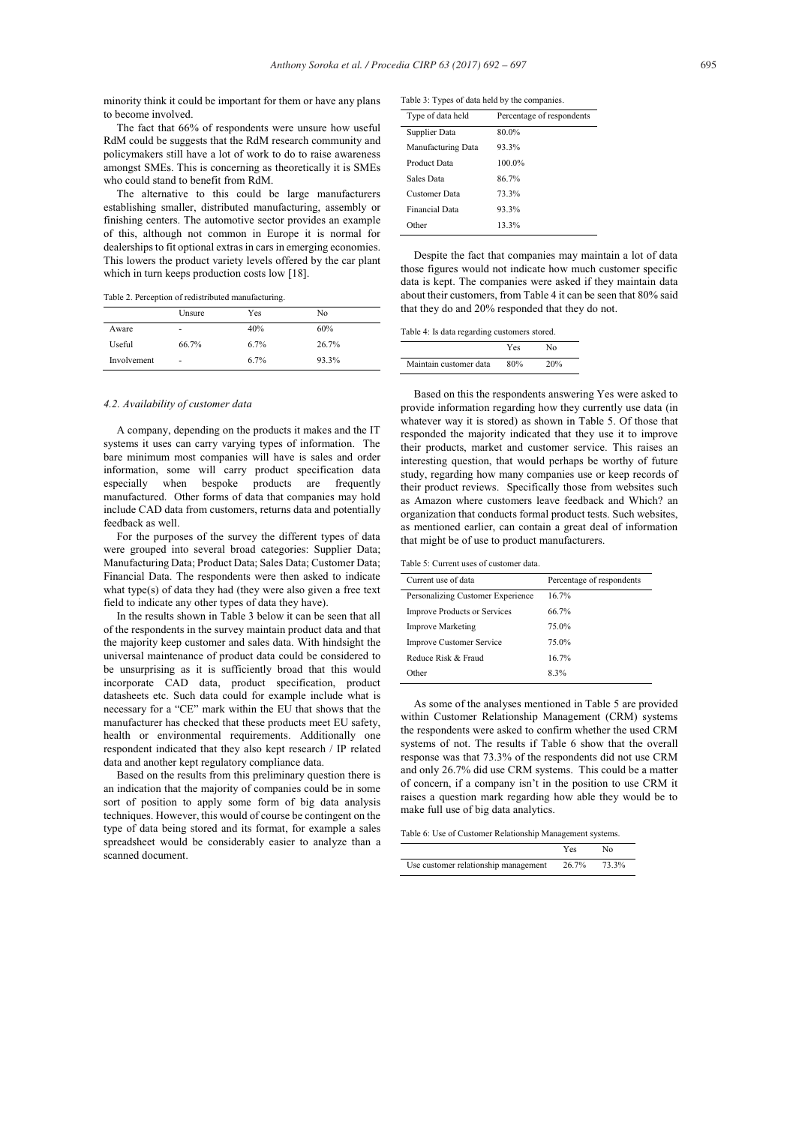minority think it could be important for them or have any plans to become involved.

The fact that 66% of respondents were unsure how useful RdM could be suggests that the RdM research community and policymakers still have a lot of work to do to raise awareness amongst SMEs. This is concerning as theoretically it is SMEs who could stand to benefit from RdM.

The alternative to this could be large manufacturers establishing smaller, distributed manufacturing, assembly or finishing centers. The automotive sector provides an example of this, although not common in Europe it is normal for dealerships to fit optional extras in cars in emerging economies. This lowers the product variety levels offered by the car plant which in turn keeps production costs low [18].

Table 2. Perception of redistributed manufacturing.

|             | Unsure | Yes  | No    |
|-------------|--------|------|-------|
| Aware       | ٠      | 40%  | 60%   |
| Useful      | 66.7%  | 6.7% | 26.7% |
| Involvement | ۰      | 6.7% | 93.3% |

### *4.2. Availability of customer data*

A company, depending on the products it makes and the IT systems it uses can carry varying types of information. The bare minimum most companies will have is sales and order information, some will carry product specification data especially when bespoke products are frequently manufactured. Other forms of data that companies may hold include CAD data from customers, returns data and potentially feedback as well.

For the purposes of the survey the different types of data were grouped into several broad categories: Supplier Data; Manufacturing Data; Product Data; Sales Data; Customer Data; Financial Data. The respondents were then asked to indicate what type(s) of data they had (they were also given a free text field to indicate any other types of data they have).

In the results shown in Table 3 below it can be seen that all of the respondents in the survey maintain product data and that the majority keep customer and sales data. With hindsight the universal maintenance of product data could be considered to be unsurprising as it is sufficiently broad that this would incorporate CAD data, product specification, product datasheets etc. Such data could for example include what is necessary for a "CE" mark within the EU that shows that the manufacturer has checked that these products meet EU safety, health or environmental requirements. Additionally one respondent indicated that they also kept research / IP related data and another kept regulatory compliance data.

Based on the results from this preliminary question there is an indication that the majority of companies could be in some sort of position to apply some form of big data analysis techniques. However, this would of course be contingent on the type of data being stored and its format, for example a sales spreadsheet would be considerably easier to analyze than a scanned document.

Table 3: Types of data held by the companies.

| Type of data held     | Percentage of respondents |
|-----------------------|---------------------------|
| Supplier Data         | 80.0%                     |
| Manufacturing Data    | 93.3%                     |
| Product Data          | 100.0%                    |
| Sales Data            | 86.7%                     |
| Customer Data         | 73.3%                     |
| <b>Financial Data</b> | 93.3%                     |
| Other                 | 13.3%                     |
|                       |                           |

Despite the fact that companies may maintain a lot of data those figures would not indicate how much customer specific data is kept. The companies were asked if they maintain data about their customers, from Table 4 it can be seen that 80% said that they do and 20% responded that they do not.

| Table 4: Is data regarding customers stored. |     |     |
|----------------------------------------------|-----|-----|
|                                              | Yes | No  |
| Maintain customer data                       | 80% | 20% |

Based on this the respondents answering Yes were asked to provide information regarding how they currently use data (in whatever way it is stored) as shown in Table 5. Of those that responded the majority indicated that they use it to improve their products, market and customer service. This raises an interesting question, that would perhaps be worthy of future study, regarding how many companies use or keep records of their product reviews. Specifically those from websites such as Amazon where customers leave feedback and Which? an organization that conducts formal product tests. Such websites, as mentioned earlier, can contain a great deal of information that might be of use to product manufacturers.

| Table 5: Current uses of customer data. |
|-----------------------------------------|
|-----------------------------------------|

| Current use of data                 | Percentage of respondents |
|-------------------------------------|---------------------------|
| Personalizing Customer Experience   | 16.7%                     |
| <b>Improve Products or Services</b> | 66.7%                     |
| <b>Improve Marketing</b>            | 75.0%                     |
| <b>Improve Customer Service</b>     | 75.0%                     |
| Reduce Risk & Fraud                 | 16.7%                     |
| Other                               | 8.3%                      |
|                                     |                           |

As some of the analyses mentioned in Table 5 are provided within Customer Relationship Management (CRM) systems the respondents were asked to confirm whether the used CRM systems of not. The results if Table 6 show that the overall response was that 73.3% of the respondents did not use CRM and only 26.7% did use CRM systems. This could be a matter of concern, if a company isn't in the position to use CRM it raises a question mark regarding how able they would be to make full use of big data analytics.

Table 6: Use of Customer Relationship Management systems.

|                                      | Yes   | N٥    |
|--------------------------------------|-------|-------|
| Use customer relationship management | 26.7% | 73.3% |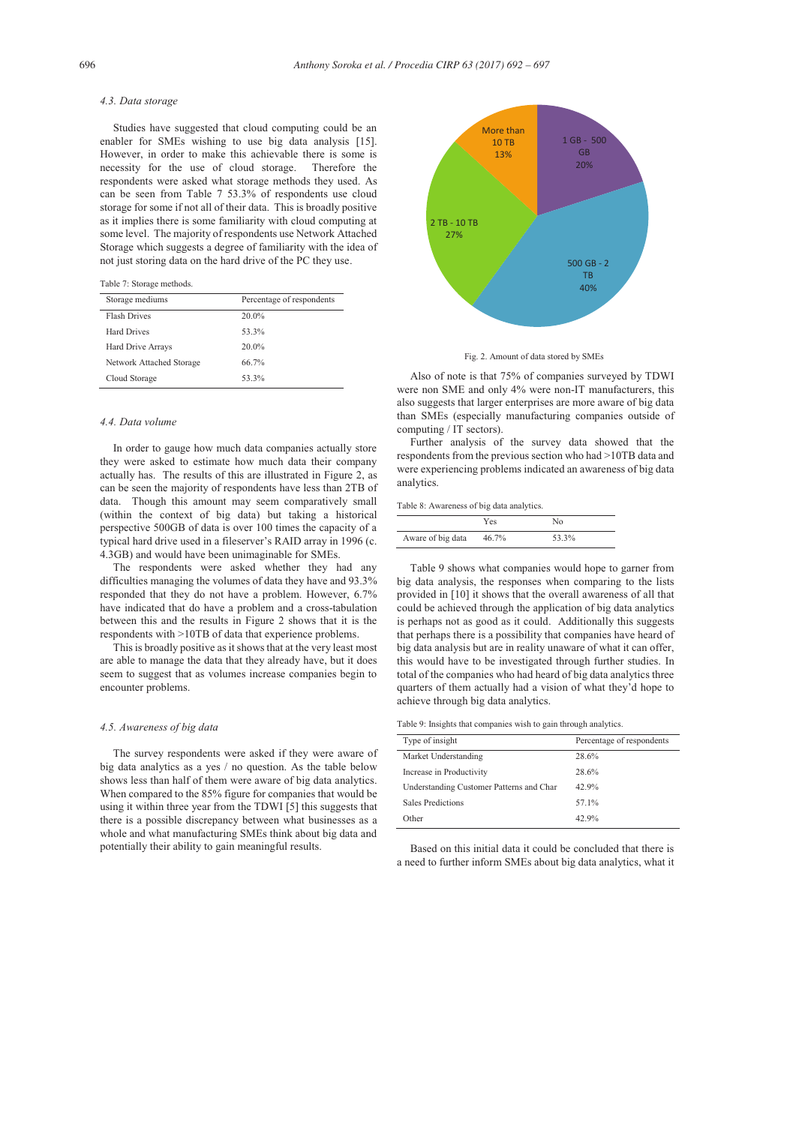## *4.3. Data storage*

Studies have suggested that cloud computing could be an enabler for SMEs wishing to use big data analysis [15]. However, in order to make this achievable there is some is necessity for the use of cloud storage. Therefore the respondents were asked what storage methods they used. As can be seen from Table 7 53.3% of respondents use cloud storage for some if not all of their data. This is broadly positive as it implies there is some familiarity with cloud computing at some level. The majority of respondents use Network Attached Storage which suggests a degree of familiarity with the idea of not just storing data on the hard drive of the PC they use.

Table 7: Storage methods.

| Storage mediums          | Percentage of respondents |
|--------------------------|---------------------------|
| <b>Flash Drives</b>      | $20.0\%$                  |
| Hard Drives              | 53.3%                     |
| Hard Drive Arrays        | $20.0\%$                  |
| Network Attached Storage | 66.7%                     |
| Cloud Storage            | 53.3%                     |

#### *4.4. Data volume*

In order to gauge how much data companies actually store they were asked to estimate how much data their company actually has. The results of this are illustrated in Figure 2, as can be seen the majority of respondents have less than 2TB of data. Though this amount may seem comparatively small (within the context of big data) but taking a historical perspective 500GB of data is over 100 times the capacity of a typical hard drive used in a fileserver's RAID array in 1996 (c. 4.3GB) and would have been unimaginable for SMEs.

The respondents were asked whether they had any difficulties managing the volumes of data they have and 93.3% responded that they do not have a problem. However, 6.7% have indicated that do have a problem and a cross-tabulation between this and the results in Figure 2 shows that it is the respondents with >10TB of data that experience problems.

This is broadly positive as it shows that at the very least most are able to manage the data that they already have, but it does seem to suggest that as volumes increase companies begin to encounter problems.

#### *4.5. Awareness of big data*

The survey respondents were asked if they were aware of big data analytics as a yes / no question. As the table below shows less than half of them were aware of big data analytics. When compared to the 85% figure for companies that would be using it within three year from the TDWI [5] this suggests that there is a possible discrepancy between what businesses as a whole and what manufacturing SMEs think about big data and potentially their ability to gain meaningful results.



Fig. 2. Amount of data stored by SMEs

Also of note is that 75% of companies surveyed by TDWI were non SME and only 4% were non-IT manufacturers, this also suggests that larger enterprises are more aware of big data than SMEs (especially manufacturing companies outside of computing / IT sectors).

Further analysis of the survey data showed that the respondents from the previous section who had >10TB data and were experiencing problems indicated an awareness of big data analytics.

Table 8: Awareness of big data analytics.

|                   | Yes   | Nο    |
|-------------------|-------|-------|
| Aware of big data | 46.7% | 53.3% |

Table 9 shows what companies would hope to garner from big data analysis, the responses when comparing to the lists provided in [10] it shows that the overall awareness of all that could be achieved through the application of big data analytics is perhaps not as good as it could. Additionally this suggests that perhaps there is a possibility that companies have heard of big data analysis but are in reality unaware of what it can offer, this would have to be investigated through further studies. In total of the companies who had heard of big data analytics three quarters of them actually had a vision of what they'd hope to achieve through big data analytics.

Table 9: Insights that companies wish to gain through analytics.

| Type of insight                          | Percentage of respondents |
|------------------------------------------|---------------------------|
| Market Understanding                     | 28.6%                     |
| Increase in Productivity                 | 28.6%                     |
| Understanding Customer Patterns and Char | 42.9%                     |
| Sales Predictions                        | 57.1%                     |
| Other                                    | 42.9%                     |

Based on this initial data it could be concluded that there is a need to further inform SMEs about big data analytics, what it